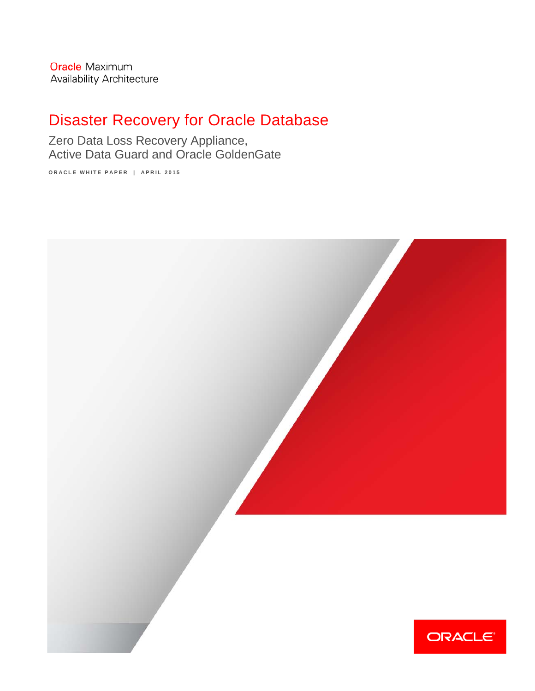**Oracle Maximum** Availability Architecture

# Disaster Recovery for Oracle Database

Zero Data Loss Recovery Appliance, Active Data Guard and Oracle GoldenGate

**ORACLE WHITE PAPER | APRIL 2015**

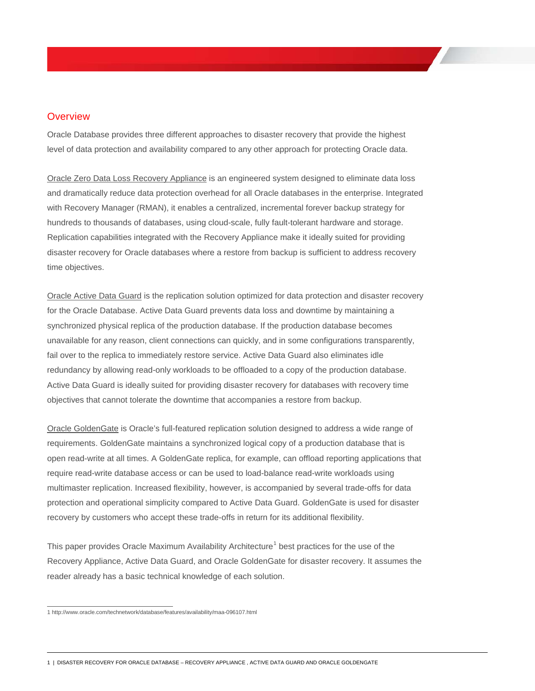### **Overview**

Oracle Database provides three different approaches to disaster recovery that provide the highest level of data protection and availability compared to any other approach for protecting Oracle data.

Oracle Zero Data Loss Recovery Appliance is an engineered system designed to eliminate data loss and dramatically reduce data protection overhead for all Oracle databases in the enterprise. Integrated with Recovery Manager (RMAN), it enables a centralized, incremental forever backup strategy for hundreds to thousands of databases, using cloud-scale, fully fault-tolerant hardware and storage. Replication capabilities integrated with the Recovery Appliance make it ideally suited for providing disaster recovery for Oracle databases where a restore from backup is sufficient to address recovery time objectives.

Oracle Active Data Guard is the replication solution optimized for data protection and disaster recovery for the Oracle Database. Active Data Guard prevents data loss and downtime by maintaining a synchronized physical replica of the production database. If the production database becomes unavailable for any reason, client connections can quickly, and in some configurations transparently, fail over to the replica to immediately restore service. Active Data Guard also eliminates idle redundancy by allowing read-only workloads to be offloaded to a copy of the production database. Active Data Guard is ideally suited for providing disaster recovery for databases with recovery time objectives that cannot tolerate the downtime that accompanies a restore from backup.

Oracle GoldenGate is Oracle's full-featured replication solution designed to address a wide range of requirements. GoldenGate maintains a synchronized logical copy of a production database that is open read-write at all times. A GoldenGate replica, for example, can offload reporting applications that require read-write database access or can be used to load-balance read-write workloads using multimaster replication. Increased flexibility, however, is accompanied by several trade-offs for data protection and operational simplicity compared to Active Data Guard. GoldenGate is used for disaster recovery by customers who accept these trade-offs in return for its additional flexibility.

This paper provides Oracle Maximum Availability Architecture<sup>[1](#page-1-0)</sup> best practices for the use of the Recovery Appliance, Active Data Guard, and Oracle GoldenGate for disaster recovery. It assumes the reader already has a basic technical knowledge of each solution.

1 | DISASTER RECOVERY FOR ORACLE DATABASE – RECOVERY APPLIANCE , ACTIVE DATA GUARD AND ORACLE GOLDENGATE

<span id="page-1-0"></span> <sup>1</sup> http://www.oracle.com/technetwork/database/features/availability/maa-096107.html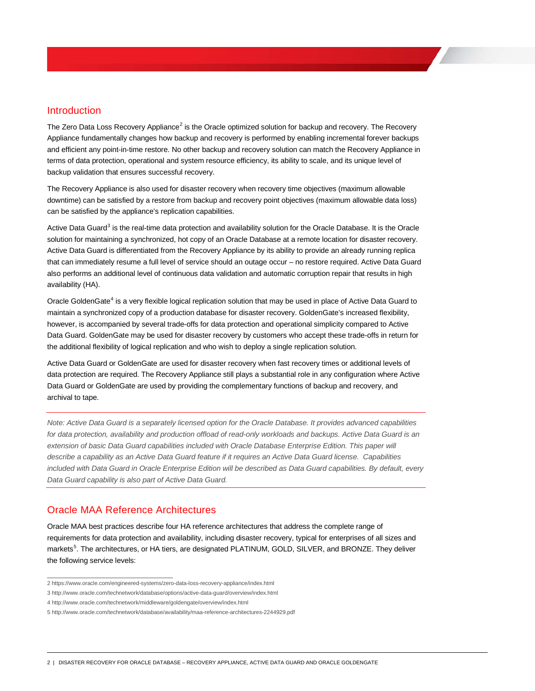### Introduction

The Zero Data Loss Recovery Appliance<sup>[2](#page-2-0)</sup> is the Oracle optimized solution for backup and recovery. The Recovery Appliance fundamentally changes how backup and recovery is performed by enabling incremental forever backups and efficient any point-in-time restore. No other backup and recovery solution can match the Recovery Appliance in terms of data protection, operational and system resource efficiency, its ability to scale, and its unique level of backup validation that ensures successful recovery.

The Recovery Appliance is also used for disaster recovery when recovery time objectives (maximum allowable downtime) can be satisfied by a restore from backup and recovery point objectives (maximum allowable data loss) can be satisfied by the appliance's replication capabilities.

Active Data Guard<sup>[3](#page-2-1)</sup> is the real-time data protection and availability solution for the Oracle Database. It is the Oracle solution for maintaining a synchronized, hot copy of an Oracle Database at a remote location for disaster recovery. Active Data Guard is differentiated from the Recovery Appliance by its ability to provide an already running replica that can immediately resume a full level of service should an outage occur – no restore required. Active Data Guard also performs an additional level of continuous data validation and automatic corruption repair that results in high availability (HA).

Oracle GoldenGate<sup>[4](#page-2-2)</sup> is a very flexible logical replication solution that may be used in place of Active Data Guard to maintain a synchronized copy of a production database for disaster recovery. GoldenGate's increased flexibility, however, is accompanied by several trade-offs for data protection and operational simplicity compared to Active Data Guard. GoldenGate may be used for disaster recovery by customers who accept these trade-offs in return for the additional flexibility of logical replication and who wish to deploy a single replication solution.

Active Data Guard or GoldenGate are used for disaster recovery when fast recovery times or additional levels of data protection are required. The Recovery Appliance still plays a substantial role in any configuration where Active Data Guard or GoldenGate are used by providing the complementary functions of backup and recovery, and archival to tape.

*Note: Active Data Guard is a separately licensed option for the Oracle Database. It provides advanced capabilities*  for data protection, availability and production offload of read-only workloads and backups. Active Data Guard is an extension of basic Data Guard capabilities included with Oracle Database Enterprise Edition. This paper will *describe a capability as an Active Data Guard feature if it requires an Active Data Guard license. Capabilities included with Data Guard in Oracle Enterprise Edition will be described as Data Guard capabilities. By default, every Data Guard capability is also part of Active Data Guard.*

### Oracle MAA Reference Architectures

Oracle MAA best practices describe four HA reference architectures that address the complete range of requirements for data protection and availability, including disaster recovery, typical for enterprises of all sizes and markets<sup>[5](#page-2-3)</sup>. The architectures, or HA tiers, are designated PLATINUM, GOLD, SILVER, and BRONZE. They deliver the following service levels:

2 | DISASTER RECOVERY FOR ORACLE DATABASE – RECOVERY APPLIANCE, ACTIVE DATA GUARD AND ORACLE GOLDENGATE

<span id="page-2-0"></span> <sup>2</sup> https://www.oracle.com/engineered-systems/zero-data-loss-recovery-appliance/index.html

<span id="page-2-1"></span><sup>3</sup> http://www.oracle.com/technetwork/database/options/active-data-guard/overview/index.html

<span id="page-2-2"></span><sup>4</sup> http://www.oracle.com/technetwork/middleware/goldengate/overview/index.html

<span id="page-2-3"></span><sup>5</sup> http://www.oracle.com/technetwork/database/availability/maa-reference-architectures-2244929.pdf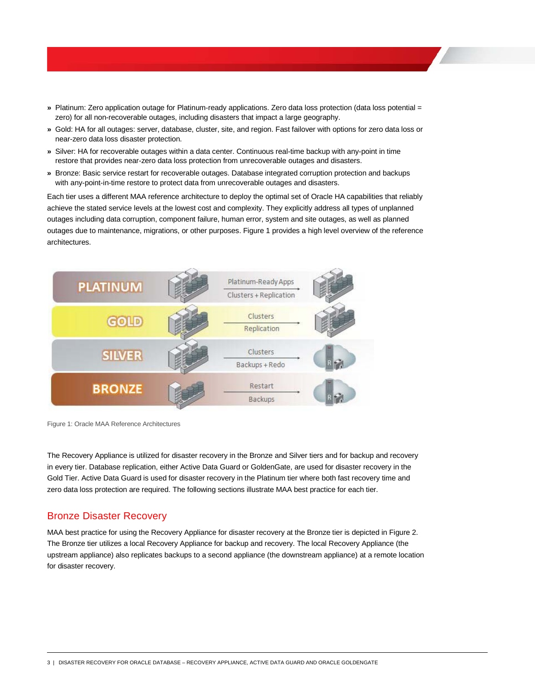- **»** Platinum: Zero application outage for Platinum-ready applications. Zero data loss protection (data loss potential = zero) for all non-recoverable outages, including disasters that impact a large geography.
- **»** Gold: HA for all outages: server, database, cluster, site, and region. Fast failover with options for zero data loss or near-zero data loss disaster protection.
- **»** Silver: HA for recoverable outages within a data center. Continuous real-time backup with any-point in time restore that provides near-zero data loss protection from unrecoverable outages and disasters.
- **»** Bronze: Basic service restart for recoverable outages. Database integrated corruption protection and backups with any-point-in-time restore to protect data from unrecoverable outages and disasters.

Each tier uses a different MAA reference architecture to deploy the optimal set of Oracle HA capabilities that reliably achieve the stated service levels at the lowest cost and complexity. They explicitly address all types of unplanned outages including data corruption, component failure, human error, system and site outages, as well as planned outages due to maintenance, migrations, or other purposes. Figure 1 provides a high level overview of the reference architectures.



Figure 1: Oracle MAA Reference Architectures

The Recovery Appliance is utilized for disaster recovery in the Bronze and Silver tiers and for backup and recovery in every tier. Database replication, either Active Data Guard or GoldenGate, are used for disaster recovery in the Gold Tier. Active Data Guard is used for disaster recovery in the Platinum tier where both fast recovery time and zero data loss protection are required. The following sections illustrate MAA best practice for each tier.

#### Bronze Disaster Recovery

MAA best practice for using the Recovery Appliance for disaster recovery at the Bronze tier is depicted in Figure 2. The Bronze tier utilizes a local Recovery Appliance for backup and recovery. The local Recovery Appliance (the upstream appliance) also replicates backups to a second appliance (the downstream appliance) at a remote location for disaster recovery.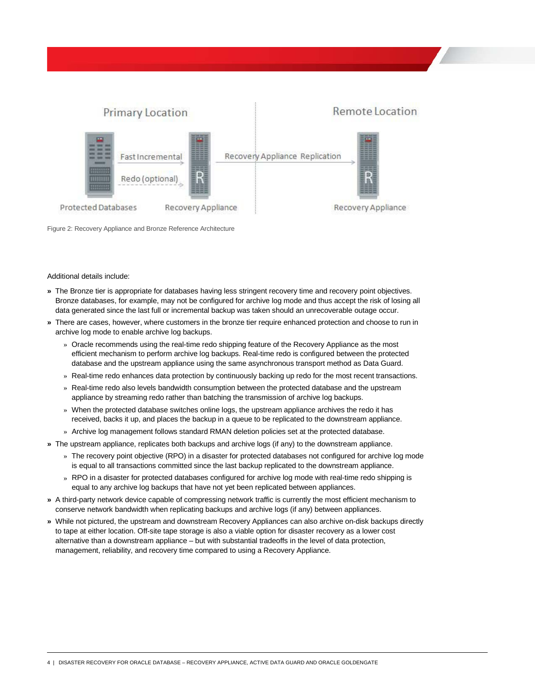

Figure 2: Recovery Appliance and Bronze Reference Architecture

#### Additional details include:

- **»** The Bronze tier is appropriate for databases having less stringent recovery time and recovery point objectives. Bronze databases, for example, may not be configured for archive log mode and thus accept the risk of losing all data generated since the last full or incremental backup was taken should an unrecoverable outage occur.
- **»** There are cases, however, where customers in the bronze tier require enhanced protection and choose to run in archive log mode to enable archive log backups.
	- » Oracle recommends using the real-time redo shipping feature of the Recovery Appliance as the most efficient mechanism to perform archive log backups. Real-time redo is configured between the protected database and the upstream appliance using the same asynchronous transport method as Data Guard.
	- » Real-time redo enhances data protection by continuously backing up redo for the most recent transactions.
	- » Real-time redo also levels bandwidth consumption between the protected database and the upstream appliance by streaming redo rather than batching the transmission of archive log backups.
	- » When the protected database switches online logs, the upstream appliance archives the redo it has received, backs it up, and places the backup in a queue to be replicated to the downstream appliance.
	- » Archive log management follows standard RMAN deletion policies set at the protected database.
- **»** The upstream appliance, replicates both backups and archive logs (if any) to the downstream appliance.
	- » The recovery point objective (RPO) in a disaster for protected databases not configured for archive log mode is equal to all transactions committed since the last backup replicated to the downstream appliance.
	- » RPO in a disaster for protected databases configured for archive log mode with real-time redo shipping is equal to any archive log backups that have not yet been replicated between appliances.
- **»** A third-party network device capable of compressing network traffic is currently the most efficient mechanism to conserve network bandwidth when replicating backups and archive logs (if any) between appliances.
- **»** While not pictured, the upstream and downstream Recovery Appliances can also archive on-disk backups directly to tape at either location. Off-site tape storage is also a viable option for disaster recovery as a lower cost alternative than a downstream appliance – but with substantial tradeoffs in the level of data protection, management, reliability, and recovery time compared to using a Recovery Appliance.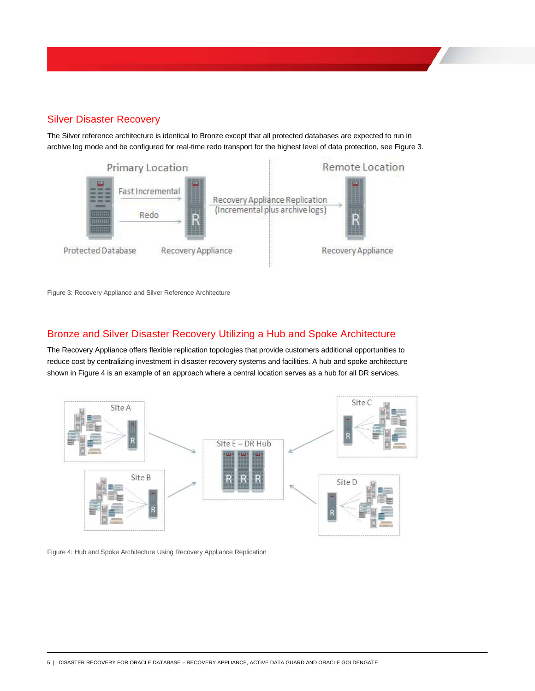# Silver Disaster Recovery

The Silver reference architecture is identical to Bronze except that all protected databases are expected to run in archive log mode and be configured for real-time redo transport for the highest level of data protection, see Figure 3.



Figure 3: Recovery Appliance and Silver Reference Architecture

### Bronze and Silver Disaster Recovery Utilizing a Hub and Spoke Architecture

The Recovery Appliance offers flexible replication topologies that provide customers additional opportunities to reduce cost by centralizing investment in disaster recovery systems and facilities. A hub and spoke architecture shown in Figure 4 is an example of an approach where a central location serves as a hub for all DR services.



Figure 4: Hub and Spoke Architecture Using Recovery Appliance Replication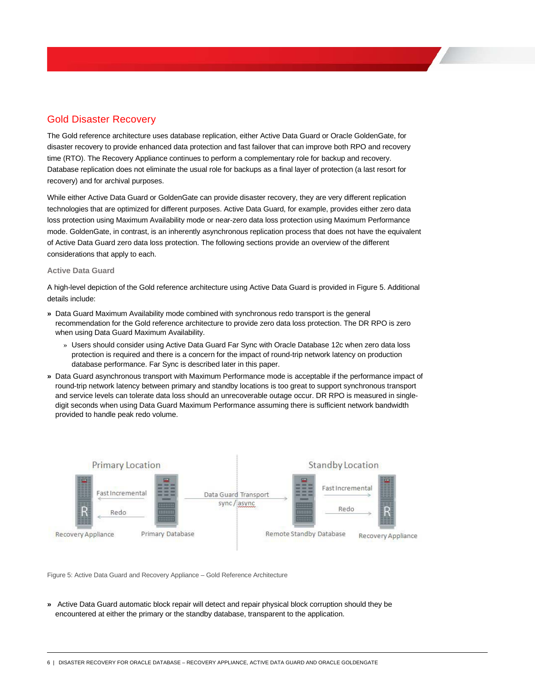# Gold Disaster Recovery

The Gold reference architecture uses database replication, either Active Data Guard or Oracle GoldenGate, for disaster recovery to provide enhanced data protection and fast failover that can improve both RPO and recovery time (RTO). The Recovery Appliance continues to perform a complementary role for backup and recovery. Database replication does not eliminate the usual role for backups as a final layer of protection (a last resort for recovery) and for archival purposes.

While either Active Data Guard or GoldenGate can provide disaster recovery, they are very different replication technologies that are optimized for different purposes. Active Data Guard, for example, provides either zero data loss protection using Maximum Availability mode or near-zero data loss protection using Maximum Performance mode. GoldenGate, in contrast, is an inherently asynchronous replication process that does not have the equivalent of Active Data Guard zero data loss protection. The following sections provide an overview of the different considerations that apply to each.

#### **Active Data Guard**

A high-level depiction of the Gold reference architecture using Active Data Guard is provided in Figure 5. Additional details include:

- **»** Data Guard Maximum Availability mode combined with synchronous redo transport is the general recommendation for the Gold reference architecture to provide zero data loss protection. The DR RPO is zero when using Data Guard Maximum Availability.
	- » Users should consider using Active Data Guard Far Sync with Oracle Database 12c when zero data loss protection is required and there is a concern for the impact of round-trip network latency on production database performance. Far Sync is described later in this paper.
- **»** Data Guard asynchronous transport with Maximum Performance mode is acceptable if the performance impact of round-trip network latency between primary and standby locations is too great to support synchronous transport and service levels can tolerate data loss should an unrecoverable outage occur. DR RPO is measured in singledigit seconds when using Data Guard Maximum Performance assuming there is sufficient network bandwidth provided to handle peak redo volume.



Figure 5: Active Data Guard and Recovery Appliance – Gold Reference Architecture

**»** Active Data Guard automatic block repair will detect and repair physical block corruption should they be encountered at either the primary or the standby database, transparent to the application.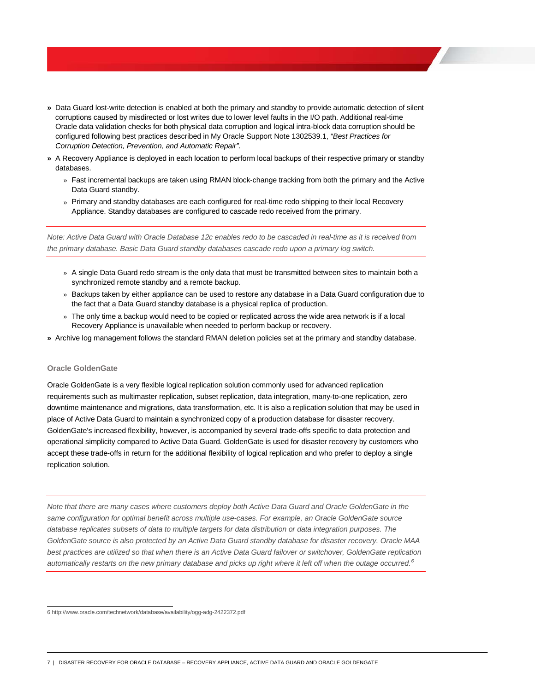- **»** Data Guard lost-write detection is enabled at both the primary and standby to provide automatic detection of silent corruptions caused by misdirected or lost writes due to lower level faults in the I/O path. Additional real-time Oracle data validation checks for both physical data corruption and logical intra-block data corruption should be configured following best practices described in My Oracle Support Note 1302539.1, *"Best Practices for Corruption Detection, Prevention, and Automatic Repair"*.
- **»** A Recovery Appliance is deployed in each location to perform local backups of their respective primary or standby databases.
	- » Fast incremental backups are taken using RMAN block-change tracking from both the primary and the Active Data Guard standby.
	- » Primary and standby databases are each configured for real-time redo shipping to their local Recovery Appliance. Standby databases are configured to cascade redo received from the primary.

*Note: Active Data Guard with Oracle Database 12c enables redo to be cascaded in real-time as it is received from the primary database. Basic Data Guard standby databases cascade redo upon a primary log switch.*

- » A single Data Guard redo stream is the only data that must be transmitted between sites to maintain both a synchronized remote standby and a remote backup.
- » Backups taken by either appliance can be used to restore any database in a Data Guard configuration due to the fact that a Data Guard standby database is a physical replica of production.
- » The only time a backup would need to be copied or replicated across the wide area network is if a local Recovery Appliance is unavailable when needed to perform backup or recovery.
- **»** Archive log management follows the standard RMAN deletion policies set at the primary and standby database.

#### **Oracle GoldenGate**

Oracle GoldenGate is a very flexible logical replication solution commonly used for advanced replication requirements such as multimaster replication, subset replication, data integration, many-to-one replication, zero downtime maintenance and migrations, data transformation, etc. It is also a replication solution that may be used in place of Active Data Guard to maintain a synchronized copy of a production database for disaster recovery. GoldenGate's increased flexibility, however, is accompanied by several trade-offs specific to data protection and operational simplicity compared to Active Data Guard. GoldenGate is used for disaster recovery by customers who accept these trade-offs in return for the additional flexibility of logical replication and who prefer to deploy a single replication solution.

*Note that there are many cases where customers deploy both Active Data Guard and Oracle GoldenGate in the same configuration for optimal benefit across multiple use-cases. For example, an Oracle GoldenGate source database replicates subsets of data to multiple targets for data distribution or data integration purposes. The GoldenGate source is also protected by an Active Data Guard standby database for disaster recovery. Oracle MAA best practices are utilized so that when there is an Active Data Guard failover or switchover, GoldenGate replication automatically restarts on the new primary database and picks up right where it left off when the outage occurred. [6](#page-7-0)*

<span id="page-7-0"></span> <sup>6</sup> http://www.oracle.com/technetwork/database/availability/ogg-adg-2422372.pdf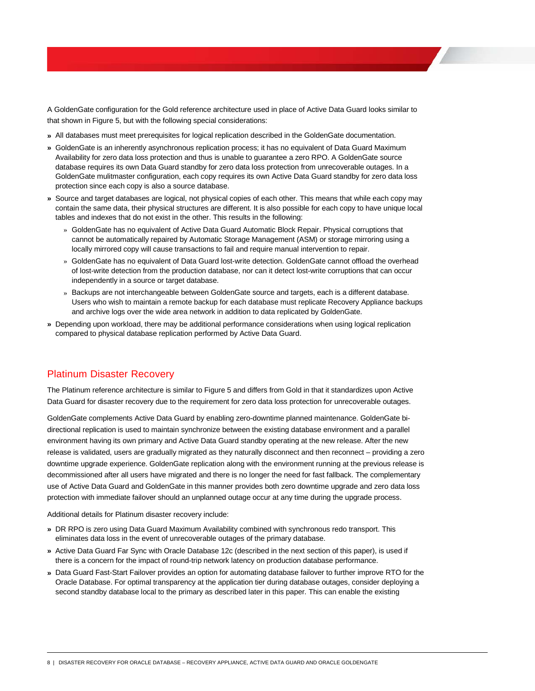A GoldenGate configuration for the Gold reference architecture used in place of Active Data Guard looks similar to that shown in Figure 5, but with the following special considerations:

- **»** All databases must meet prerequisites for logical replication described in the GoldenGate documentation.
- **»** GoldenGate is an inherently asynchronous replication process; it has no equivalent of Data Guard Maximum Availability for zero data loss protection and thus is unable to guarantee a zero RPO. A GoldenGate source database requires its own Data Guard standby for zero data loss protection from unrecoverable outages. In a GoldenGate mulitmaster configuration, each copy requires its own Active Data Guard standby for zero data loss protection since each copy is also a source database.
- **»** Source and target databases are logical, not physical copies of each other. This means that while each copy may contain the same data, their physical structures are different. It is also possible for each copy to have unique local tables and indexes that do not exist in the other. This results in the following:
	- » GoldenGate has no equivalent of Active Data Guard Automatic Block Repair. Physical corruptions that cannot be automatically repaired by Automatic Storage Management (ASM) or storage mirroring using a locally mirrored copy will cause transactions to fail and require manual intervention to repair.
	- » GoldenGate has no equivalent of Data Guard lost-write detection. GoldenGate cannot offload the overhead of lost-write detection from the production database, nor can it detect lost-write corruptions that can occur independently in a source or target database.
	- » Backups are not interchangeable between GoldenGate source and targets, each is a different database. Users who wish to maintain a remote backup for each database must replicate Recovery Appliance backups and archive logs over the wide area network in addition to data replicated by GoldenGate.
- **»** Depending upon workload, there may be additional performance considerations when using logical replication compared to physical database replication performed by Active Data Guard.

### Platinum Disaster Recovery

The Platinum reference architecture is similar to Figure 5 and differs from Gold in that it standardizes upon Active Data Guard for disaster recovery due to the requirement for zero data loss protection for unrecoverable outages.

GoldenGate complements Active Data Guard by enabling zero-downtime planned maintenance. GoldenGate bidirectional replication is used to maintain synchronize between the existing database environment and a parallel environment having its own primary and Active Data Guard standby operating at the new release. After the new release is validated, users are gradually migrated as they naturally disconnect and then reconnect – providing a zero downtime upgrade experience. GoldenGate replication along with the environment running at the previous release is decommissioned after all users have migrated and there is no longer the need for fast fallback. The complementary use of Active Data Guard and GoldenGate in this manner provides both zero downtime upgrade and zero data loss protection with immediate failover should an unplanned outage occur at any time during the upgrade process.

Additional details for Platinum disaster recovery include:

- **»** DR RPO is zero using Data Guard Maximum Availability combined with synchronous redo transport. This eliminates data loss in the event of unrecoverable outages of the primary database.
- **»** Active Data Guard Far Sync with Oracle Database 12c (described in the next section of this paper), is used if there is a concern for the impact of round-trip network latency on production database performance.
- **»** Data Guard Fast-Start Failover provides an option for automating database failover to further improve RTO for the Oracle Database. For optimal transparency at the application tier during database outages, consider deploying a second standby database local to the primary as described later in this paper. This can enable the existing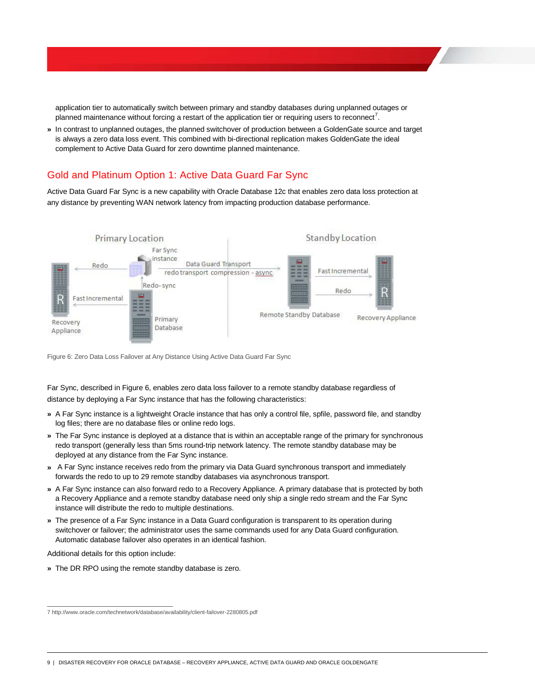application tier to automatically switch between primary and standby databases during unplanned outages or planned maintenance without forcing a restart of the application tier or requiring users to reconnect<sup>[7](#page-9-0)</sup>.

**»** In contrast to unplanned outages, the planned switchover of production between a GoldenGate source and target is always a zero data loss event. This combined with bi-directional replication makes GoldenGate the ideal complement to Active Data Guard for zero downtime planned maintenance.

# Gold and Platinum Option 1: Active Data Guard Far Sync

Active Data Guard Far Sync is a new capability with Oracle Database 12c that enables zero data loss protection at any distance by preventing WAN network latency from impacting production database performance.



Figure 6: Zero Data Loss Failover at Any Distance Using Active Data Guard Far Sync

Far Sync, described in Figure 6, enables zero data loss failover to a remote standby database regardless of distance by deploying a Far Sync instance that has the following characteristics:

- **»** A Far Sync instance is a lightweight Oracle instance that has only a control file, spfile, password file, and standby log files; there are no database files or online redo logs.
- **»** The Far Sync instance is deployed at a distance that is within an acceptable range of the primary for synchronous redo transport (generally less than 5ms round-trip network latency. The remote standby database may be deployed at any distance from the Far Sync instance.
- **»** A Far Sync instance receives redo from the primary via Data Guard synchronous transport and immediately forwards the redo to up to 29 remote standby databases via asynchronous transport.
- **»** A Far Sync instance can also forward redo to a Recovery Appliance. A primary database that is protected by both a Recovery Appliance and a remote standby database need only ship a single redo stream and the Far Sync instance will distribute the redo to multiple destinations.
- **»** The presence of a Far Sync instance in a Data Guard configuration is transparent to its operation during switchover or failover; the administrator uses the same commands used for any Data Guard configuration. Automatic database failover also operates in an identical fashion.

Additional details for this option include:

**»** The DR RPO using the remote standby database is zero.

9 | DISASTER RECOVERY FOR ORACLE DATABASE – RECOVERY APPLIANCE, ACTIVE DATA GUARD AND ORACLE GOLDENGATE

<span id="page-9-0"></span> <sup>7</sup> http://www.oracle.com/technetwork/database/availability/client-failover-2280805.pdf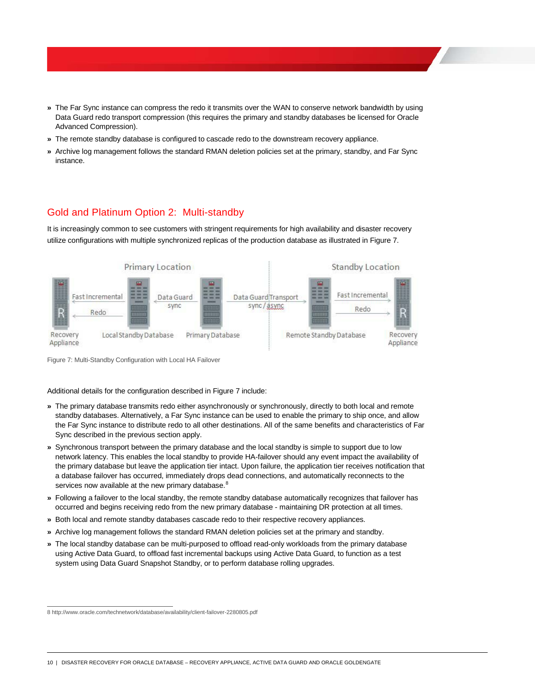- **»** The Far Sync instance can compress the redo it transmits over the WAN to conserve network bandwidth by using Data Guard redo transport compression (this requires the primary and standby databases be licensed for Oracle Advanced Compression).
- **»** The remote standby database is configured to cascade redo to the downstream recovery appliance.
- **»** Archive log management follows the standard RMAN deletion policies set at the primary, standby, and Far Sync instance.

# Gold and Platinum Option 2: Multi-standby

It is increasingly common to see customers with stringent requirements for high availability and disaster recovery utilize configurations with multiple synchronized replicas of the production database as illustrated in Figure 7.



Figure 7: Multi-Standby Configuration with Local HA Failover

Additional details for the configuration described in Figure 7 include:

- **»** The primary database transmits redo either asynchronously or synchronously, directly to both local and remote standby databases. Alternatively, a Far Sync instance can be used to enable the primary to ship once, and allow the Far Sync instance to distribute redo to all other destinations. All of the same benefits and characteristics of Far Sync described in the previous section apply.
- **»** Synchronous transport between the primary database and the local standby is simple to support due to low network latency. This enables the local standby to provide HA-failover should any event impact the availability of the primary database but leave the application tier intact. Upon failure, the application tier receives notification that a database failover has occurred, immediately drops dead connections, and automatically reconnects to the services now available at the new primary database.<sup>[8](#page-10-0)</sup>
- **»** Following a failover to the local standby, the remote standby database automatically recognizes that failover has occurred and begins receiving redo from the new primary database - maintaining DR protection at all times.
- **»** Both local and remote standby databases cascade redo to their respective recovery appliances.
- **»** Archive log management follows the standard RMAN deletion policies set at the primary and standby.
- **»** The local standby database can be multi-purposed to offload read-only workloads from the primary database using Active Data Guard, to offload fast incremental backups using Active Data Guard, to function as a test system using Data Guard Snapshot Standby, or to perform database rolling upgrades.

10 | DISASTER RECOVERY FOR ORACLE DATABASE – RECOVERY APPLIANCE, ACTIVE DATA GUARD AND ORACLE GOLDENGATE

<span id="page-10-0"></span> <sup>8</sup> http://www.oracle.com/technetwork/database/availability/client-failover-2280805.pdf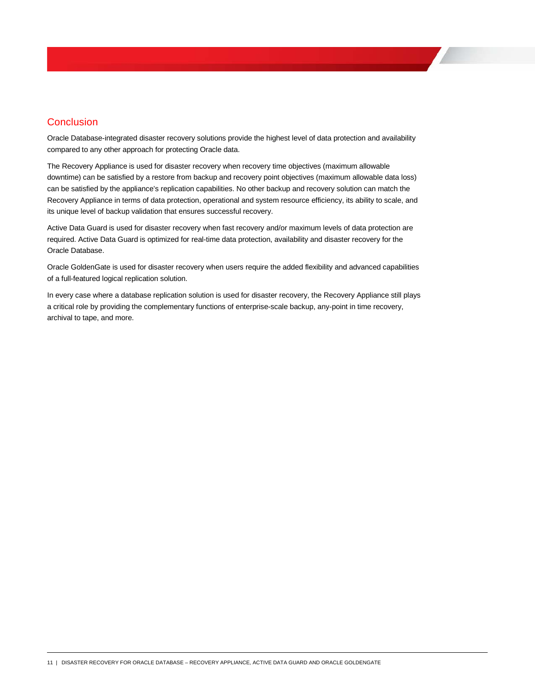# **Conclusion**

Oracle Database-integrated disaster recovery solutions provide the highest level of data protection and availability compared to any other approach for protecting Oracle data.

The Recovery Appliance is used for disaster recovery when recovery time objectives (maximum allowable downtime) can be satisfied by a restore from backup and recovery point objectives (maximum allowable data loss) can be satisfied by the appliance's replication capabilities. No other backup and recovery solution can match the Recovery Appliance in terms of data protection, operational and system resource efficiency, its ability to scale, and its unique level of backup validation that ensures successful recovery.

Active Data Guard is used for disaster recovery when fast recovery and/or maximum levels of data protection are required. Active Data Guard is optimized for real-time data protection, availability and disaster recovery for the Oracle Database.

Oracle GoldenGate is used for disaster recovery when users require the added flexibility and advanced capabilities of a full-featured logical replication solution.

In every case where a database replication solution is used for disaster recovery, the Recovery Appliance still plays a critical role by providing the complementary functions of enterprise-scale backup, any-point in time recovery, archival to tape, and more.